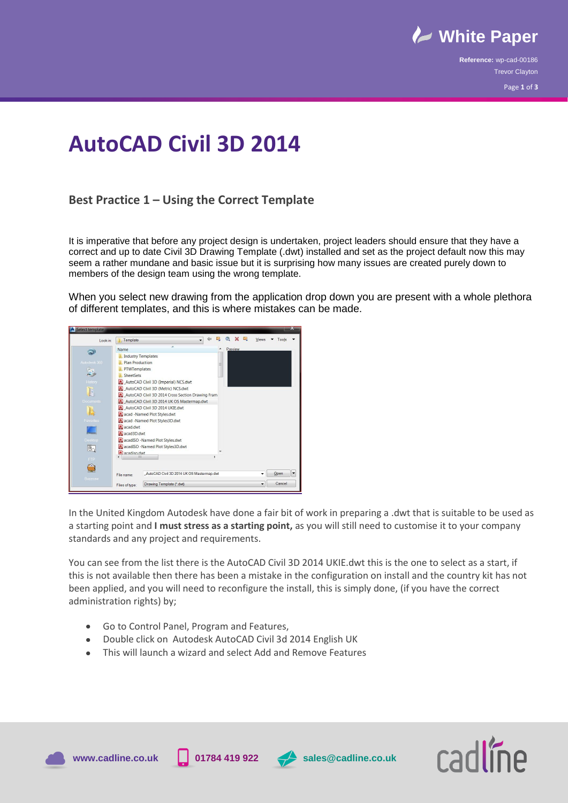

**Reference:** wp-cad-00186 Trevor Clayton Page **1** of **3**

## **AutoCAD Civil 3D 2014**

## **Best Practice 1 – Using the Correct Template**

It is imperative that before any project design is undertaken, project leaders should ensure that they have a correct and up to date Civil 3D Drawing Template (.dwt) installed and set as the project default now this may seem a rather mundane and basic issue but it is surprising how many issues are created purely down to members of the design team using the wrong template.

When you select new drawing from the application drop down you are present with a whole plethora of different templates, and this is where mistakes can be made.



In the United Kingdom Autodesk have done a fair bit of work in preparing a .dwt that is suitable to be used as a starting point and **I must stress as a starting point,** as you will still need to customise it to your company standards and any project and requirements.

You can see from the list there is the AutoCAD Civil 3D 2014 UKIE.dwt this is the one to select as a start, if this is not available then there has been a mistake in the configuration on install and the country kit has not been applied, and you will need to reconfigure the install, this is simply done, (if you have the correct administration rights) by;

- Go to Control Panel, Program and Features,
- $\bullet$ Double click on Autodesk AutoCAD Civil 3d 2014 English UK
- This will launch a wizard and select Add and Remove Features









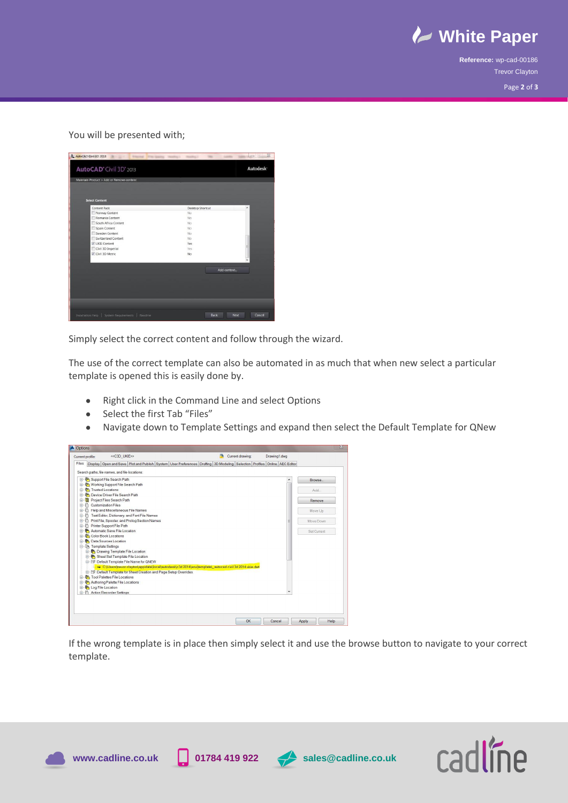

**Reference:** wp-cad-00186 Trevor Clayton Page **2** of **3**

## You will be presented with;

| A_AutoCAD Civil 3D 2013<br>あり出さ<br><b><i>Started</i></b> Plan Garden |                         | $\boxtimes$<br>$=$    |
|----------------------------------------------------------------------|-------------------------|-----------------------|
| AutoCAD' Civil 3D' 2013                                              |                         | Autodesk <sup>-</sup> |
| Maintain Product > Add or Remove content                             |                         |                       |
|                                                                      |                         |                       |
|                                                                      |                         |                       |
| <b>Select Content</b>                                                |                         |                       |
| Content Pack                                                         | <b>Desktop Shortcut</b> | À                     |
| Norway Content                                                       | No                      |                       |
| Romania Content                                                      | No                      |                       |
| South Africa Content                                                 | No                      |                       |
| Spain Content                                                        | No                      |                       |
| Sweden Content                                                       | No                      |                       |
| Switzerland Content                                                  | No.                     |                       |
| V UKIE Content                                                       | Yes                     |                       |
| Civil 3D Imperial                                                    | Yes                     |                       |
| Civil 3D Metric                                                      | No                      |                       |
|                                                                      |                         |                       |
|                                                                      |                         |                       |
|                                                                      | Add content             |                       |
|                                                                      |                         |                       |
|                                                                      |                         |                       |
|                                                                      |                         |                       |
|                                                                      |                         |                       |
|                                                                      |                         |                       |
|                                                                      |                         |                       |
| Installation Help   System Requirements   Readme                     | <b>Back</b>             | Next<br>Cancel        |

Simply select the correct content and follow through the wizard.

The use of the correct template can also be automated in as much that when new select a particular template is opened this is easily done by.

- $\bullet$ Right click in the Command Line and select Options
- Select the first Tab "Files"  $\bullet$
- Navigate down to Template Settings and expand then select the Default Template for QNew  $\bullet$



If the wrong template is in place then simply select it and use the browse button to navigate to your correct template.